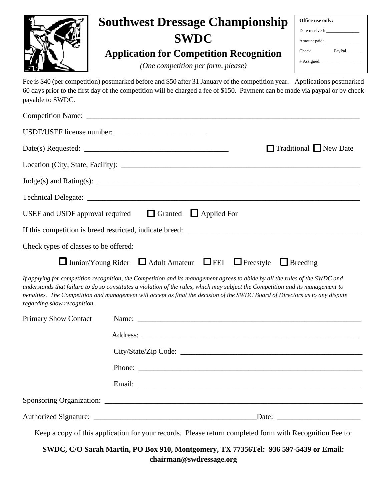|                                       | <b>Southwest Dressage Championship</b>                                                                                                                                                                                                                                                                                                                                                          | Office use only:     |
|---------------------------------------|-------------------------------------------------------------------------------------------------------------------------------------------------------------------------------------------------------------------------------------------------------------------------------------------------------------------------------------------------------------------------------------------------|----------------------|
|                                       | <b>SWDC</b>                                                                                                                                                                                                                                                                                                                                                                                     |                      |
|                                       | <b>Application for Competition Recognition</b>                                                                                                                                                                                                                                                                                                                                                  |                      |
|                                       | (One competition per form, please)                                                                                                                                                                                                                                                                                                                                                              |                      |
| payable to SWDC.                      | Fee is \$40 (per competition) postmarked before and \$50 after 31 January of the competition year. Applications postmarked<br>60 days prior to the first day of the competition will be charged a fee of \$150. Payment can be made via paypal or by check                                                                                                                                      |                      |
|                                       |                                                                                                                                                                                                                                                                                                                                                                                                 |                      |
|                                       |                                                                                                                                                                                                                                                                                                                                                                                                 |                      |
|                                       | Date(s) Requested:                                                                                                                                                                                                                                                                                                                                                                              | Traditional New Date |
|                                       |                                                                                                                                                                                                                                                                                                                                                                                                 |                      |
|                                       |                                                                                                                                                                                                                                                                                                                                                                                                 |                      |
|                                       |                                                                                                                                                                                                                                                                                                                                                                                                 |                      |
|                                       | USEF and USDF approval required $\Box$ Granted $\Box$ Applied For                                                                                                                                                                                                                                                                                                                               |                      |
|                                       |                                                                                                                                                                                                                                                                                                                                                                                                 |                      |
| Check types of classes to be offered: |                                                                                                                                                                                                                                                                                                                                                                                                 |                      |
|                                       | $\Box$ Junior/Young Rider $\Box$ Adult Amateur $\Box$ FEI $\Box$ Freestyle $\Box$ Breeding                                                                                                                                                                                                                                                                                                      |                      |
| regarding show recognition.           | If applying for competition recognition, the Competition and its management agrees to abide by all the rules of the SWDC and<br>understands that failure to do so constitutes a violation of the rules, which may subject the Competition and its management to<br>penalties. The Competition and management will accept as final the decision of the SWDC Board of Directors as to any dispute |                      |
| <b>Primary Show Contact</b>           |                                                                                                                                                                                                                                                                                                                                                                                                 |                      |
|                                       |                                                                                                                                                                                                                                                                                                                                                                                                 |                      |
|                                       |                                                                                                                                                                                                                                                                                                                                                                                                 |                      |
|                                       |                                                                                                                                                                                                                                                                                                                                                                                                 |                      |
|                                       | Email: <u>Department of the contract of the contract of the contract of the contract of the contract of the contract of the contract of the contract of the contract of the contract of the contract of the contract of the cont</u>                                                                                                                                                            |                      |
|                                       |                                                                                                                                                                                                                                                                                                                                                                                                 |                      |
|                                       |                                                                                                                                                                                                                                                                                                                                                                                                 |                      |
|                                       | Keep a copy of this application for your records. Please return completed form with Recognition Fee to:                                                                                                                                                                                                                                                                                         |                      |

**SWDC, C/O Sarah Martin, PO Box 910, Montgomery, TX 77356Tel: 936 597-5439 or Email: chairman@swdressage.org**